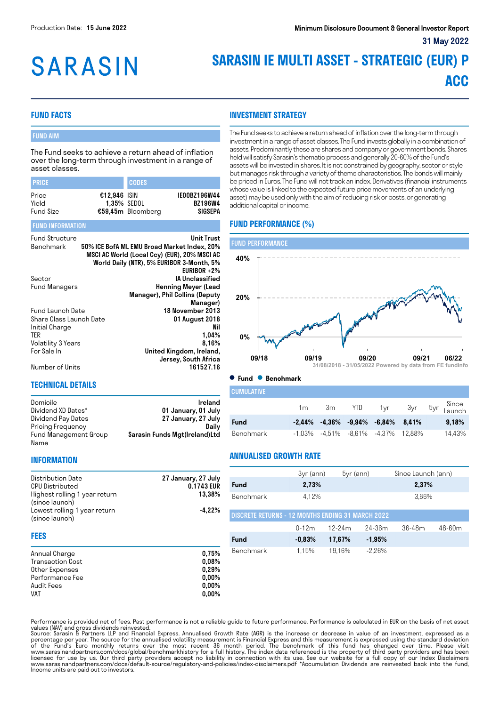# **SARASIN**

## **SARASIN IE MULTI ASSET - STRATEGIC (EUR) P ACC**

#### **FUND FACTS**

#### FUND AIM

The Fund seeks to achieve a return ahead of inflation over the long-term through investment in a range of asset classes.

| <b>PRICE</b>                       |                                      | <b>CODES</b>      |                                           |
|------------------------------------|--------------------------------------|-------------------|-------------------------------------------|
| Price<br>Yield<br><b>Fund Size</b> | $£12.946$ ISIN<br><b>1.35% SEDOL</b> | €59,45m Bloomberg | IE00BZ196W44<br><b>BZ196W4</b><br>SIGSEPA |

#### FUND INFORMATION

| <b>Fund Structure</b><br>Benchmark | <b>Unit Trust</b><br>50% ICE BofA ML EMU Broad Market Index, 20%<br>MSCI AC World (Local Ccy) (EUR), 20% MSCI AC<br>World Daily (NTR), 5% EURIBOR 3-Month, 5% |
|------------------------------------|---------------------------------------------------------------------------------------------------------------------------------------------------------------|
|                                    | EURIBOR $+2\%$                                                                                                                                                |
| Sector                             | <b>IA Unclassified</b>                                                                                                                                        |
| Fund Managers                      | Henning Meyer (Lead                                                                                                                                           |
|                                    | Manager), Phil Collins (Deputy                                                                                                                                |
|                                    | Manager)                                                                                                                                                      |
| Fund Launch Date                   | 18 November 2013                                                                                                                                              |
| Share Class Launch Date            | 01 August 2018                                                                                                                                                |
| Initial Charge                     | Nil                                                                                                                                                           |
| <b>TER</b>                         | 1,04%                                                                                                                                                         |
| Volatility 3 Years                 | 8.16%                                                                                                                                                         |
| For Sale In                        | United Kingdom, Ireland,                                                                                                                                      |
|                                    | Jersey, South Africa                                                                                                                                          |
| Number of Units                    | 161527.16                                                                                                                                                     |

**INFORMATION**

#### **TECHNICAL DETAILS**

| Domicile              | Ireland                       |
|-----------------------|-------------------------------|
| Dividend XD Dates*    | 01 January, 01 July           |
| Dividend Pay Dates    | 27 January, 27 July           |
| Pricing Frequency     | Dailv                         |
| Fund Management Group | Sarasin Funds Mgt(Ireland)Ltd |
| Name                  |                               |

### **INVESTMENT STRATEGY**

The Fund seeks to achieve a return ahead of inflation over the long-term through investment in a range of asset classes. The Fund invests globally in a combination of assets. Predominantly these are shares and company or government bonds. Shares held will satisfy Sarasin's thematic process and generally 20-60% of the Fund's assets will be invested in shares. It is not constrained by geography, sector or style but manages risk through a variety of theme characteristics. The bonds will mainly be priced in Euros. The Fund will not track an index. Derivatives (financial instruments whose value is linked to the expected future price movements of an underlying asset) may be used only with the aim of reducing risk or costs, or generating additional capital or income.

#### **FUND PERFORMANCE (%)**



**Fund Benchmark**

| <b>CUMULATIVE</b> |                |    |      |                                                |  |                                    |
|-------------------|----------------|----|------|------------------------------------------------|--|------------------------------------|
|                   | 1 <sub>m</sub> | 3m | YTD. | 1yr                                            |  | 3yr 5yr <sup>Since</sup><br>Launch |
| Fund              |                |    |      | $-2,44\%$ $-4,36\%$ $-9,94\%$ $-6,84\%$ 8,41%  |  | 9.18%                              |
| Benchmark         |                |    |      | $-1,03\%$ $-4,51\%$ $-8,61\%$ $-4,37\%$ 12,88% |  | 14.43%                             |

#### **ANNUALISED GROWTH RATE**

|                                                                                             |                                                                                                                                                                                           |           | 3yr (ann) | $5yr$ (ann) |          | Since Launch (ann) |        |
|---------------------------------------------------------------------------------------------|-------------------------------------------------------------------------------------------------------------------------------------------------------------------------------------------|-----------|-----------|-------------|----------|--------------------|--------|
| Distribution Date<br>CPU Distributed                                                        | 0.1743 EUR                                                                                                                                                                                | Fund      | 2,73%     |             |          | 2,37%              |        |
| Highest rolling 1 year return<br>(since launch)                                             |                                                                                                                                                                                           | Benchmark | 4.12%     |             |          | 3,66%              |        |
| Lowest rolling 1 year return<br>(since launch)                                              | 27 January, 27 July<br>13,38%<br>$-4.22%$<br><b>DISCRETE RETURNS - 12 MONTHS ENDING 31 MARCH 2022</b><br>Fund<br>Benchmark<br>0.75%<br>0.08%<br>0.29%<br>$0.00\%$<br>$0.00\%$<br>$0,00\%$ |           |           |             |          |                    |        |
|                                                                                             |                                                                                                                                                                                           |           | $0 - 12m$ | $12 - 24m$  | 24-36m   | $36 - 48m$         | 48-60m |
| <b>FEES</b>                                                                                 |                                                                                                                                                                                           |           | $-0.83%$  | 17,67%      | $-1,95%$ |                    |        |
| Annual Charge<br>Transaction Cost<br>Other Expenses<br>Performance Fee<br>Audit Fees<br>VAT |                                                                                                                                                                                           |           | 1.15%     | 19.16%      | $-2.26%$ |                    |        |

Performance is provided net of fees. Past performance is not a reliable guide to future performance. Performance is calculated in EUR on the basis of net asset values (NAV) and gross dividends reinvested.<br>Source: Sarasin & Partners LLP and Financial Express. Annualised Growth Rate (AGR) is the increase or decrease in value of an investment, expressed as a

percentage per year. The source for the annualised volatility measurement is Financial Express and this measurement is expressed using the standard deviation of the Fund's Euro monthly returns over the most recent 36 month period. The benchmark of this fund has changed over time. Please visit<br>www.sarasinandpartners.com/docs/global/benchmarkhistory for a full history.The index d Income units are paid out to investors.